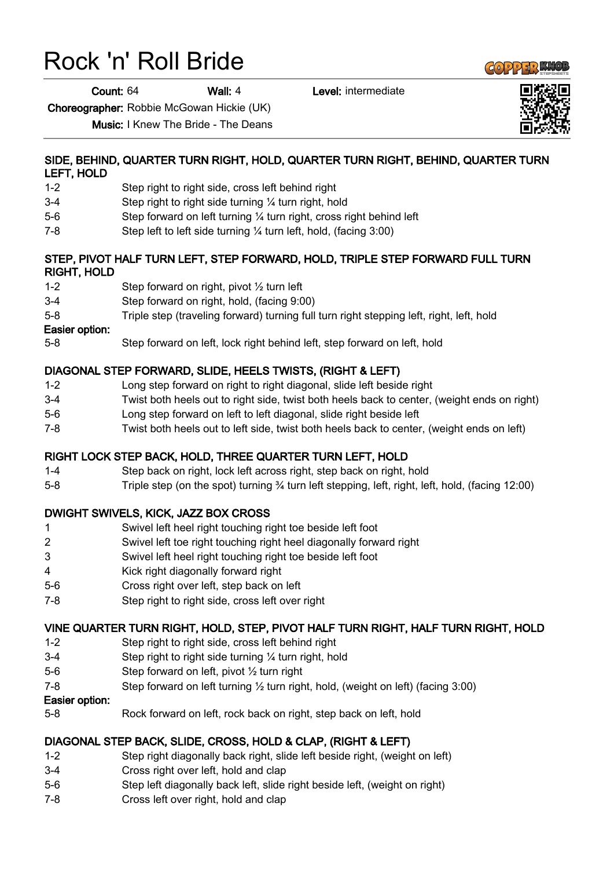# Rock 'n' Roll Bride

Count: 64 Wall: 4 Level: intermediate

Choreographer: Robbie McGowan Hickie (UK)

Music: I Knew The Bride - The Deans

#### SIDE, BEHIND, QUARTER TURN RIGHT, HOLD, QUARTER TURN RIGHT, BEHIND, QUARTER TURN LEFT, HOLD

- 1-2 Step right to right side, cross left behind right
- 3-4 Step right to right side turning ¼ turn right, hold
- 5-6 Step forward on left turning ¼ turn right, cross right behind left
- 7-8 Step left to left side turning ¼ turn left, hold, (facing 3:00)

#### STEP, PIVOT HALF TURN LEFT, STEP FORWARD, HOLD, TRIPLE STEP FORWARD FULL TURN RIGHT, HOLD

- 1-2 Step forward on right, pivot ½ turn left
- 3-4 Step forward on right, hold, (facing 9:00)
- 5-8 Triple step (traveling forward) turning full turn right stepping left, right, left, hold

#### Easier option:

5-8 Step forward on left, lock right behind left, step forward on left, hold

# DIAGONAL STEP FORWARD, SLIDE, HEELS TWISTS, (RIGHT & LEFT)

- 1-2 Long step forward on right to right diagonal, slide left beside right
- 3-4 Twist both heels out to right side, twist both heels back to center, (weight ends on right)
- 5-6 Long step forward on left to left diagonal, slide right beside left
- 7-8 Twist both heels out to left side, twist both heels back to center, (weight ends on left)

## RIGHT LOCK STEP BACK, HOLD, THREE QUARTER TURN LEFT, HOLD

- 1-4 Step back on right, lock left across right, step back on right, hold
- 5-8 Triple step (on the spot) turning ¾ turn left stepping, left, right, left, hold, (facing 12:00)

## DWIGHT SWIVELS, KICK, JAZZ BOX CROSS

- 1 Swivel left heel right touching right toe beside left foot
- 2 Swivel left toe right touching right heel diagonally forward right
- 3 Swivel left heel right touching right toe beside left foot
- 4 Kick right diagonally forward right
- 5-6 Cross right over left, step back on left
- 7-8 Step right to right side, cross left over right

## VINE QUARTER TURN RIGHT, HOLD, STEP, PIVOT HALF TURN RIGHT, HALF TURN RIGHT, HOLD

- 1-2 Step right to right side, cross left behind right
- 3-4 Step right to right side turning ¼ turn right, hold
- 5-6 Step forward on left, pivot ½ turn right
- 7-8 Step forward on left turning ½ turn right, hold, (weight on left) (facing 3:00)

#### Easier option:

5-8 Rock forward on left, rock back on right, step back on left, hold

## DIAGONAL STEP BACK, SLIDE, CROSS, HOLD & CLAP, (RIGHT & LEFT)

- 1-2 Step right diagonally back right, slide left beside right, (weight on left)
- 3-4 Cross right over left, hold and clap
- 5-6 Step left diagonally back left, slide right beside left, (weight on right)
- 7-8 Cross left over right, hold and clap